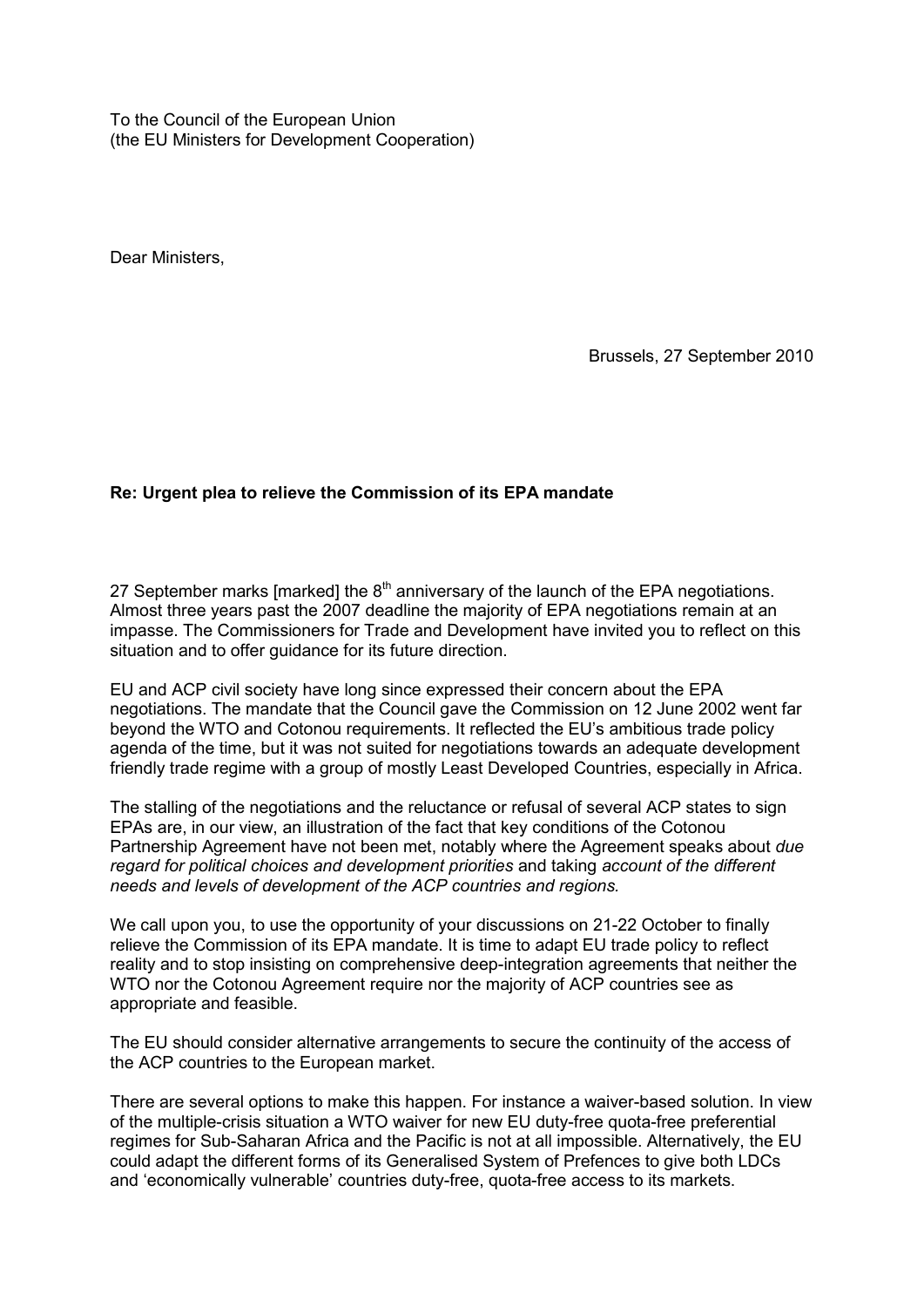To the Council of the European Union (the EU Ministers for Development Cooperation)

Dear Ministers,

Brussels, 27 September 2010

## **Re: Urgent plea to relieve the Commission of its EPA mandate**

27 September marks [marked] the  $8<sup>th</sup>$  anniversary of the launch of the EPA negotiations. Almost three years past the 2007 deadline the majority of EPA negotiations remain at an impasse. The Commissioners for Trade and Development have invited you to reflect on this situation and to offer guidance for its future direction.

EU and ACP civil society have long since expressed their concern about the EPA negotiations. The mandate that the Council gave the Commission on 12 June 2002 went far beyond the WTO and Cotonou requirements. It reflected the EU's ambitious trade policy agenda of the time, but it was not suited for negotiations towards an adequate development friendly trade regime with a group of mostly Least Developed Countries, especially in Africa.

The stalling of the negotiations and the reluctance or refusal of several ACP states to sign EPAs are, in our view, an illustration of the fact that key conditions of the Cotonou Partnership Agreement have not been met, notably where the Agreement speaks about *due regard for political choices and development priorities* and taking *account of the different needs and levels of development of the ACP countries and regions.*

We call upon you, to use the opportunity of your discussions on 21-22 October to finally relieve the Commission of its EPA mandate. It is time to adapt EU trade policy to reflect reality and to stop insisting on comprehensive deep-integration agreements that neither the WTO nor the Cotonou Agreement require nor the majority of ACP countries see as appropriate and feasible.

The EU should consider alternative arrangements to secure the continuity of the access of the ACP countries to the European market.

There are several options to make this happen. For instance a waiver-based solution. In view of the multiple-crisis situation a WTO waiver for new EU duty-free quota-free preferential regimes for Sub-Saharan Africa and the Pacific is not at all impossible. Alternatively, the EU could adapt the different forms of its Generalised System of Prefences to give both LDCs and 'economically vulnerable' countries duty-free, quota-free access to its markets.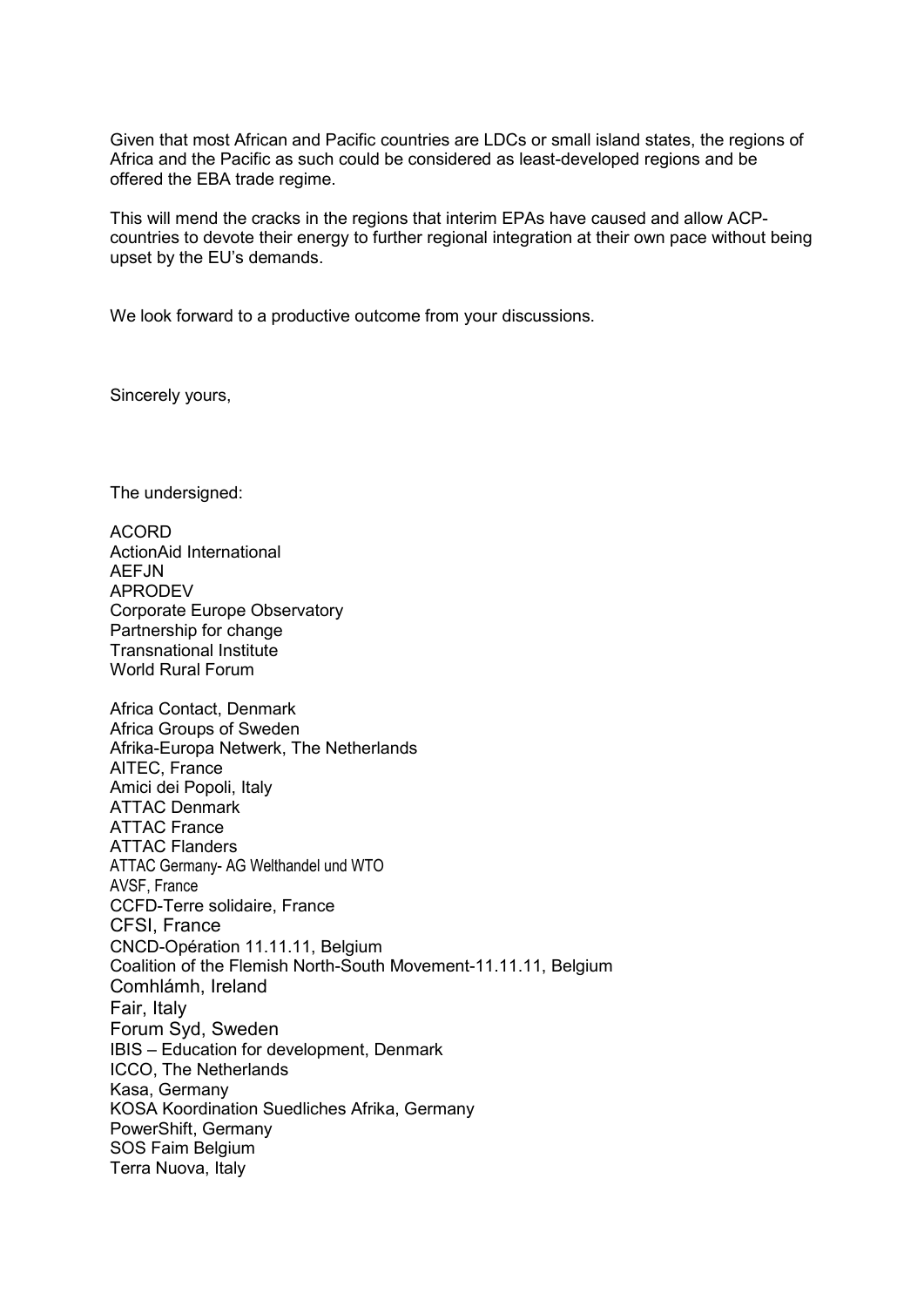Given that most African and Pacific countries are LDCs or small island states, the regions of Africa and the Pacific as such could be considered as least-developed regions and be offered the EBA trade regime.

This will mend the cracks in the regions that interim EPAs have caused and allow ACPcountries to devote their energy to further regional integration at their own pace without being upset by the EU's demands.

We look forward to a productive outcome from your discussions.

Sincerely yours,

The undersigned:

ACORD ActionAid International AFF.IN APRODEV Corporate Europe Observatory Partnership for change Transnational Institute World Rural Forum Africa Contact, Denmark Africa Groups of Sweden Afrika-Europa Netwerk, The Netherlands AITEC, France Amici dei Popoli, Italy ATTAC Denmark ATTAC France ATTAC Flanders ATTAC Germany- AG Welthandel und WTO AVSF, France CCFD-Terre solidaire, France CFSI, France CNCD-Opération 11.11.11, Belgium Coalition of the Flemish North-South Movement-11.11.11, Belgium Comhlámh, Ireland Fair, Italy Forum Syd, Sweden IBIS – Education for development, Denmark ICCO, The Netherlands Kasa, Germany KOSA Koordination Suedliches Afrika, Germany PowerShift, Germany SOS Faim Belgium Terra Nuova, Italy